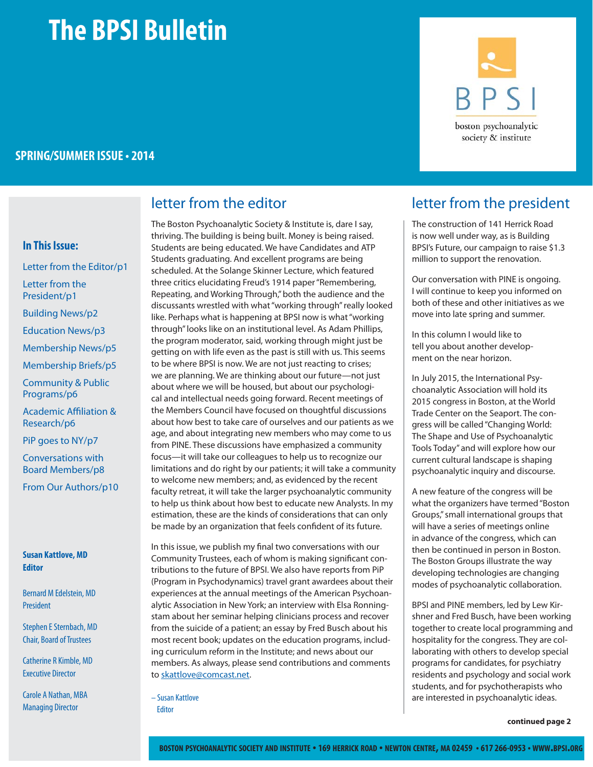# **The BPSI Bulletin**

### **SPRING/SUMMER ISSUE • 2014**

#### **In This Issue:**

Letter from the Editor/p1 Letter from the President/p1 Building News/p2 Education News/p3 Membership News/p5 Membership Briefs/p5

Community & Public Programs/p6

**Academic Affiliation &** Research/p6

PiP goes to NY/p7

Conversations with Board Members/p8

From Our Authors/p10

#### **Susan Kattlove, MD Editor**

Bernard M Edelstein, MD President

Stephen E Sternbach, MD Chair, Board of Trustees

Catherine R Kimble, MD Executive Director

Carole A Nathan, MBA Managing Director

The Boston Psychoanalytic Society & Institute is, dare I say, thriving. The building is being built. Money is being raised. Students are being educated. We have Candidates and ATP Students graduating. And excellent programs are being scheduled. At the Solange Skinner Lecture, which featured three critics elucidating Freud's 1914 paper "Remembering, Repeating, and Working Through," both the audience and the discussants wrestled with what "working through" really looked like. Perhaps what is happening at BPSI now is what "working through" looks like on an institutional level. As Adam Phillips, the program moderator, said, working through might just be getting on with life even as the past is still with us. This seems to be where BPSI is now. We are not just reacting to crises; we are planning. We are thinking about our future—not just about where we will be housed, but about our psychological and intellectual needs going forward. Recent meetings of the Members Council have focused on thoughtful discussions about how best to take care of ourselves and our patients as we age, and about integrating new members who may come to us from PINE. These discussions have emphasized a community focus—it will take our colleagues to help us to recognize our limitations and do right by our patients; it will take a community to welcome new members; and, as evidenced by the recent faculty retreat, it will take the larger psychoanalytic community to help us think about how best to educate new Analysts. In my estimation, these are the kinds of considerations that can only be made by an organization that feels confident of its future.

In this issue, we publish my final two conversations with our Community Trustees, each of whom is making significant contributions to the future of BPSI. We also have reports from PiP (Program in Psychodynamics) travel grant awardees about their experiences at the annual meetings of the American Psychoanalytic Association in New York; an interview with Elsa Ronningstam about her seminar helping clinicians process and recover from the suicide of a patient; an essay by Fred Busch about his most recent book; updates on the education programs, including curriculum reform in the Institute; and news about our members. As always, please send contributions and comments to skattlove@comcast.net.

– Susan Kattlove

Editor



### letter from the editor and letter from the president

The construction of 141 Herrick Road is now well under way, as is Building BPSI's Future, our campaign to raise \$1.3 million to support the renovation.

Our conversation with PINE is ongoing. I will continue to keep you informed on both of these and other initiatives as we move into late spring and summer.

In this column I would like to tell you about another development on the near horizon.

In July 2015, the International Psychoanalytic Association will hold its 2015 congress in Boston, at the World Trade Center on the Seaport. The congress will be called "Changing World: The Shape and Use of Psychoanalytic Tools Today" and will explore how our current cultural landscape is shaping psychoanalytic inquiry and discourse.

A new feature of the congress will be what the organizers have termed "Boston Groups," small international groups that will have a series of meetings online in advance of the congress, which can then be continued in person in Boston. The Boston Groups illustrate the way developing technologies are changing modes of psychoanalytic collaboration.

BPSI and PINE members, led by Lew Kirshner and Fred Busch, have been working together to create local programming and hospitality for the congress. They are collaborating with others to develop special programs for candidates, for psychiatry residents and psychology and social work students, and for psychotherapists who are interested in psychoanalytic ideas.

**continued page 2**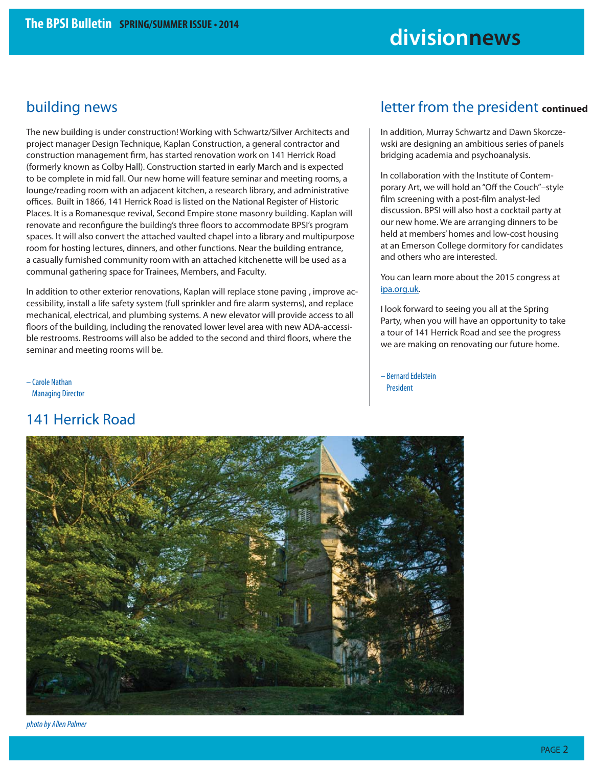## **divisionnews**

### building news

The new building is under construction! Working with Schwartz/Silver Architects and project manager Design Technique, Kaplan Construction, a general contractor and construction management firm, has started renovation work on 141 Herrick Road (formerly known as Colby Hall). Construction started in early March and is expected to be complete in mid fall. Our new home will feature seminar and meeting rooms, a lounge/reading room with an adjacent kitchen, a research library, and administrative offices. Built in 1866, 141 Herrick Road is listed on the National Register of Historic Places. It is a Romanesque revival, Second Empire stone masonry building. Kaplan will renovate and reconfigure the building's three floors to accommodate BPSI's program spaces. It will also convert the attached vaulted chapel into a library and multipurpose room for hosting lectures, dinners, and other functions. Near the building entrance, a casually furnished community room with an attached kitchenette will be used as a communal gathering space for Trainees, Members, and Faculty.

In addition to other exterior renovations, Kaplan will replace stone paving , improve accessibility, install a life safety system (full sprinkler and fire alarm systems), and replace mechanical, electrical, and plumbing systems. A new elevator will provide access to all floors of the building, including the renovated lower level area with new ADA-accessible restrooms. Restrooms will also be added to the second and third floors, where the seminar and meeting rooms will be.

– Carole Nathan Managing Director

### 141 Herrick Road

### letter from the president **continued**

In addition, Murray Schwartz and Dawn Skorczewski are designing an ambitious series of panels bridging academia and psychoanalysis.

In collaboration with the Institute of Contemporary Art, we will hold an "Off the Couch"–style film screening with a post-film analyst-led discussion. BPSI will also host a cocktail party at our new home. We are arranging dinners to be held at members' homes and low-cost housing at an Emerson College dormitory for candidates and others who are interested.

You can learn more about the 2015 congress at ipa.org.uk.

I look forward to seeing you all at the Spring Party, when you will have an opportunity to take a tour of 141 Herrick Road and see the progress we are making on renovating our future home.

– Bernard Edelstein President



photo by Allen Palmer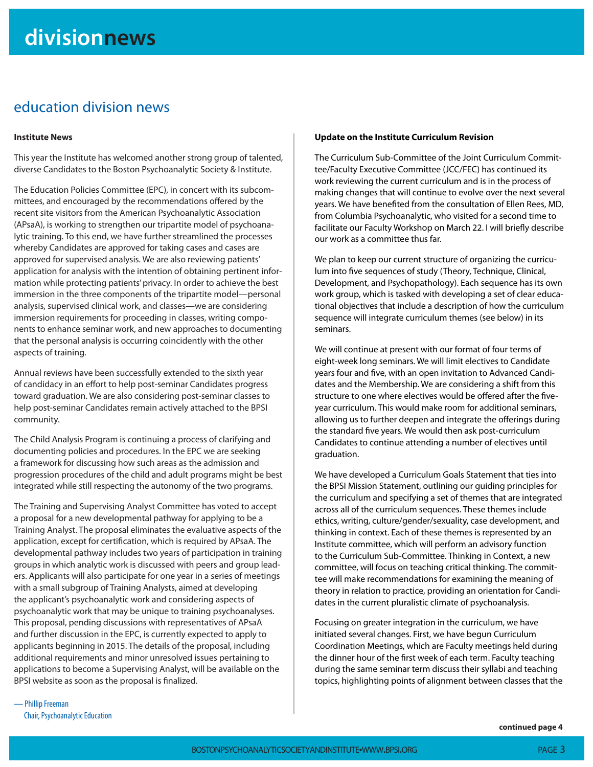### education division news

#### **Institute News**

This year the Institute has welcomed another strong group of talented, diverse Candidates to the Boston Psychoanalytic Society & Institute.

The Education Policies Committee (EPC), in concert with its subcommittees, and encouraged by the recommendations offered by the recent site visitors from the American Psychoanalytic Association (APsaA), is working to strengthen our tripartite model of psychoanalytic training. To this end, we have further streamlined the processes whereby Candidates are approved for taking cases and cases are approved for supervised analysis. We are also reviewing patients' application for analysis with the intention of obtaining pertinent information while protecting patients' privacy. In order to achieve the best immersion in the three components of the tripartite model—personal analysis, supervised clinical work, and classes—we are considering immersion requirements for proceeding in classes, writing components to enhance seminar work, and new approaches to documenting that the personal analysis is occurring coincidently with the other aspects of training.

Annual reviews have been successfully extended to the sixth year of candidacy in an effort to help post-seminar Candidates progress toward graduation. We are also considering post-seminar classes to help post-seminar Candidates remain actively attached to the BPSI community.

The Child Analysis Program is continuing a process of clarifying and documenting policies and procedures. In the EPC we are seeking a framework for discussing how such areas as the admission and progression procedures of the child and adult programs might be best integrated while still respecting the autonomy of the two programs.

The Training and Supervising Analyst Committee has voted to accept a proposal for a new developmental pathway for applying to be a Training Analyst. The proposal eliminates the evaluative aspects of the application, except for certification, which is required by APsaA. The developmental pathway includes two years of participation in training groups in which analytic work is discussed with peers and group leaders. Applicants will also participate for one year in a series of meetings with a small subgroup of Training Analysts, aimed at developing the applicant's psychoanalytic work and considering aspects of psychoanalytic work that may be unique to training psychoanalyses. This proposal, pending discussions with representatives of APsaA and further discussion in the EPC, is currently expected to apply to applicants beginning in 2015. The details of the proposal, including additional requirements and minor unresolved issues pertaining to applications to become a Supervising Analyst, will be available on the BPSI website as soon as the proposal is finalized.

#### **Update on the Institute Curriculum Revision**

The Curriculum Sub-Committee of the Joint Curriculum Committee/Faculty Executive Committee (JCC/FEC) has continued its work reviewing the current curriculum and is in the process of making changes that will continue to evolve over the next several years. We have benefited from the consultation of Ellen Rees, MD, from Columbia Psychoanalytic, who visited for a second time to facilitate our Faculty Workshop on March 22. I will briefly describe our work as a committee thus far.

We plan to keep our current structure of organizing the curriculum into five sequences of study (Theory, Technique, Clinical, Development, and Psychopathology). Each sequence has its own work group, which is tasked with developing a set of clear educational objectives that include a description of how the curriculum sequence will integrate curriculum themes (see below) in its seminars.

We will continue at present with our format of four terms of eight-week long seminars. We will limit electives to Candidate years four and five, with an open invitation to Advanced Candidates and the Membership. We are considering a shift from this structure to one where electives would be offered after the fiveyear curriculum. This would make room for additional seminars, allowing us to further deepen and integrate the offerings during the standard five years. We would then ask post-curriculum Candidates to continue attending a number of electives until graduation.

We have developed a Curriculum Goals Statement that ties into the BPSI Mission Statement, outlining our guiding principles for the curriculum and specifying a set of themes that are integrated across all of the curriculum sequences. These themes include ethics, writing, culture/gender/sexuality, case development, and thinking in context. Each of these themes is represented by an Institute committee, which will perform an advisory function to the Curriculum Sub-Committee. Thinking in Context, a new committee, will focus on teaching critical thinking. The committee will make recommendations for examining the meaning of theory in relation to practice, providing an orientation for Candidates in the current pluralistic climate of psychoanalysis.

Focusing on greater integration in the curriculum, we have initiated several changes. First, we have begun Curriculum Coordination Meetings, which are Faculty meetings held during the dinner hour of the first week of each term. Faculty teaching during the same seminar term discuss their syllabi and teaching topics, highlighting points of alignment between classes that the

— Phillip Freeman Chair, Psychoanalytic Education

**continued page 4**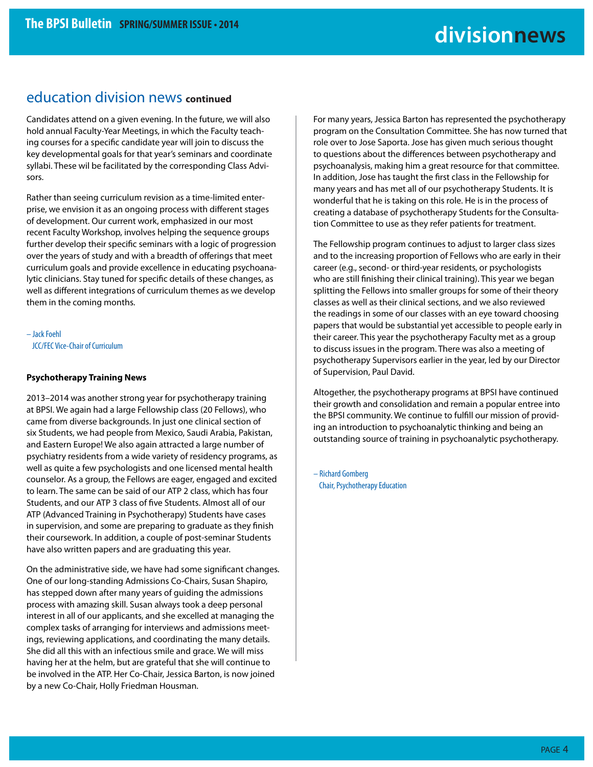### education division news **continued**

Candidates attend on a given evening. In the future, we will also hold annual Faculty-Year Meetings, in which the Faculty teaching courses for a specific candidate year will join to discuss the key developmental goals for that year's seminars and coordinate syllabi. These wil be facilitated by the corresponding Class Advisors.

Rather than seeing curriculum revision as a time-limited enterprise, we envision it as an ongoing process with different stages of development. Our current work, emphasized in our most recent Faculty Workshop, involves helping the sequence groups further develop their specific seminars with a logic of progression over the years of study and with a breadth of offerings that meet curriculum goals and provide excellence in educating psychoanalytic clinicians. Stay tuned for specific details of these changes, as well as different integrations of curriculum themes as we develop them in the coming months.

– Jack Foehl JCC/FEC Vice-Chair of Curriculum

#### **Psychotherapy Training News**

2013–2014 was another strong year for psychotherapy training at BPSI. We again had a large Fellowship class (20 Fellows), who came from diverse backgrounds. In just one clinical section of six Students, we had people from Mexico, Saudi Arabia, Pakistan, and Eastern Europe! We also again attracted a large number of psychiatry residents from a wide variety of residency programs, as well as quite a few psychologists and one licensed mental health counselor. As a group, the Fellows are eager, engaged and excited to learn. The same can be said of our ATP 2 class, which has four Students, and our ATP 3 class of five Students. Almost all of our ATP (Advanced Training in Psychotherapy) Students have cases in supervision, and some are preparing to graduate as they finish their coursework. In addition, a couple of post-seminar Students have also written papers and are graduating this year.

On the administrative side, we have had some significant changes. One of our long-standing Admissions Co-Chairs, Susan Shapiro, has stepped down after many years of guiding the admissions process with amazing skill. Susan always took a deep personal interest in all of our applicants, and she excelled at managing the complex tasks of arranging for interviews and admissions meetings, reviewing applications, and coordinating the many details. She did all this with an infectious smile and grace. We will miss having her at the helm, but are grateful that she will continue to be involved in the ATP. Her Co-Chair, Jessica Barton, is now joined by a new Co-Chair, Holly Friedman Housman.

For many years, Jessica Barton has represented the psychotherapy program on the Consultation Committee. She has now turned that role over to Jose Saporta. Jose has given much serious thought to questions about the differences between psychotherapy and psychoanalysis, making him a great resource for that committee. In addition, Jose has taught the first class in the Fellowship for many years and has met all of our psychotherapy Students. It is wonderful that he is taking on this role. He is in the process of creating a database of psychotherapy Students for the Consultation Committee to use as they refer patients for treatment.

The Fellowship program continues to adjust to larger class sizes and to the increasing proportion of Fellows who are early in their career (e.g., second- or third-year residents, or psychologists who are still finishing their clinical training). This year we began splitting the Fellows into smaller groups for some of their theory classes as well as their clinical sections, and we also reviewed the readings in some of our classes with an eye toward choosing papers that would be substantial yet accessible to people early in their career. This year the psychotherapy Faculty met as a group to discuss issues in the program. There was also a meeting of psychotherapy Supervisors earlier in the year, led by our Director of Supervision, Paul David.

Altogether, the psychotherapy programs at BPSI have continued their growth and consolidation and remain a popular entree into the BPSI community. We continue to fulfill our mission of providing an introduction to psychoanalytic thinking and being an outstanding source of training in psychoanalytic psychotherapy.

– Richard Gomberg Chair, Psychotherapy Education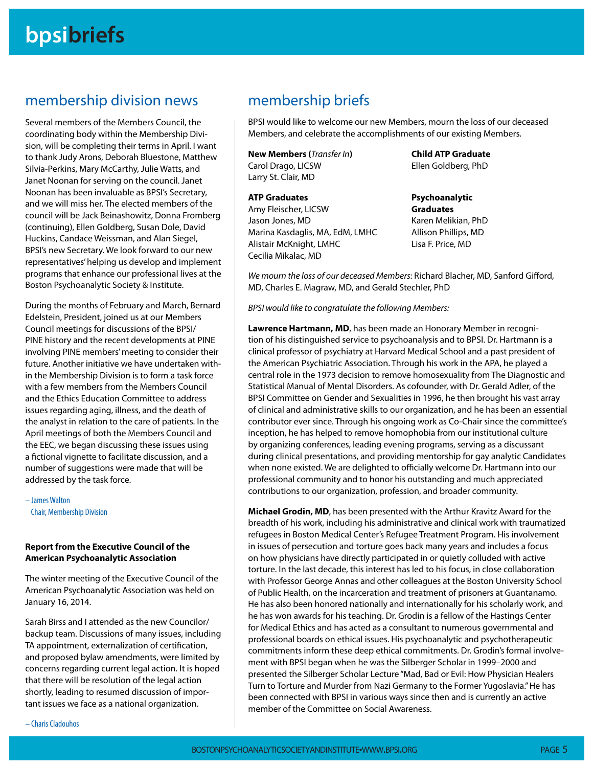### membership division news

Several members of the Members Council, the coordinating body within the Membership Division, will be completing their terms in April. I want to thank Judy Arons, Deborah Bluestone, Matthew Silvia-Perkins, Mary McCarthy, Julie Watts, and Janet Noonan for serving on the council. Janet Noonan has been invaluable as BPSI's Secretary, and we will miss her. The elected members of the council will be Jack Beinashowitz, Donna Fromberg (continuing), Ellen Goldberg, Susan Dole, David Huckins, Candace Weissman, and Alan Siegel, BPSI's new Secretary. We look forward to our new representatives' helping us develop and implement programs that enhance our professional lives at the Boston Psychoanalytic Society & Institute.

During the months of February and March, Bernard Edelstein, President, joined us at our Members Council meetings for discussions of the BPSI/ PINE history and the recent developments at PINE involving PINE members' meeting to consider their future. Another initiative we have undertaken within the Membership Division is to form a task force with a few members from the Members Council and the Ethics Education Committee to address issues regarding aging, illness, and the death of the analyst in relation to the care of patients. In the April meetings of both the Members Council and the EEC, we began discussing these issues using a fictional vignette to facilitate discussion, and a number of suggestions were made that will be addressed by the task force.

– James Walton Chair, Membership Division

#### **Report from the Executive Council of the American Psychoanalytic Association**

The winter meeting of the Executive Council of the American Psychoanalytic Association was held on January 16, 2014.

Sarah Birss and I attended as the new Councilor/ backup team. Discussions of many issues, including TA appointment, externalization of certification, and proposed bylaw amendments, were limited by concerns regarding current legal action. It is hoped that there will be resolution of the legal action shortly, leading to resumed discussion of important issues we face as a national organization.

### membership briefs

BPSI would like to welcome our new Members, mourn the loss of our deceased Members, and celebrate the accomplishments of our existing Members.

**New Members (**Transfer In**)** Carol Drago, LICSW Larry St. Clair, MD

#### **ATP Graduates**

Amy Fleischer, LICSW Jason Jones, MD Marina Kasdaglis, MA, EdM, LMHC Alistair McKnight, LMHC Cecilia Mikalac, MD

**Child ATP Graduate** Ellen Goldberg, PhD

**Psychoanalytic Graduates** Karen Melikian, PhD Allison Phillips, MD Lisa F. Price, MD

We mourn the loss of our deceased Members: Richard Blacher, MD, Sanford Gifford, MD, Charles E. Magraw, MD, and Gerald Stechler, PhD

BPSI would like to congratulate the following Members:

**Lawrence Hartmann, MD**, has been made an Honorary Member in recognition of his distinguished service to psychoanalysis and to BPSI. Dr. Hartmann is a clinical professor of psychiatry at Harvard Medical School and a past president of the American Psychiatric Association. Through his work in the APA, he played a central role in the 1973 decision to remove homosexuality from The Diagnostic and Statistical Manual of Mental Disorders. As cofounder, with Dr. Gerald Adler, of the BPSI Committee on Gender and Sexualities in 1996, he then brought his vast array of clinical and administrative skills to our organization, and he has been an essential contributor ever since. Through his ongoing work as Co-Chair since the committee's inception, he has helped to remove homophobia from our institutional culture by organizing conferences, leading evening programs, serving as a discussant during clinical presentations, and providing mentorship for gay analytic Candidates when none existed. We are delighted to officially welcome Dr. Hartmann into our professional community and to honor his outstanding and much appreciated contributions to our organization, profession, and broader community.

**Michael Grodin, MD**, has been presented with the Arthur Kravitz Award for the breadth of his work, including his administrative and clinical work with traumatized refugees in Boston Medical Center's Refugee Treatment Program. His involvement in issues of persecution and torture goes back many years and includes a focus on how physicians have directly participated in or quietly colluded with active torture. In the last decade, this interest has led to his focus, in close collaboration with Professor George Annas and other colleagues at the Boston University School of Public Health, on the incarceration and treatment of prisoners at Guantanamo. He has also been honored nationally and internationally for his scholarly work, and he has won awards for his teaching. Dr. Grodin is a fellow of the Hastings Center for Medical Ethics and has acted as a consultant to numerous governmental and professional boards on ethical issues. His psychoanalytic and psychotherapeutic commitments inform these deep ethical commitments. Dr. Grodin's formal involvement with BPSI began when he was the Silberger Scholar in 1999–2000 and presented the Silberger Scholar Lecture "Mad, Bad or Evil: How Physician Healers Turn to Torture and Murder from Nazi Germany to the Former Yugoslavia." He has been connected with BPSI in various ways since then and is currently an active member of the Committee on Social Awareness.

– Charis Cladouhos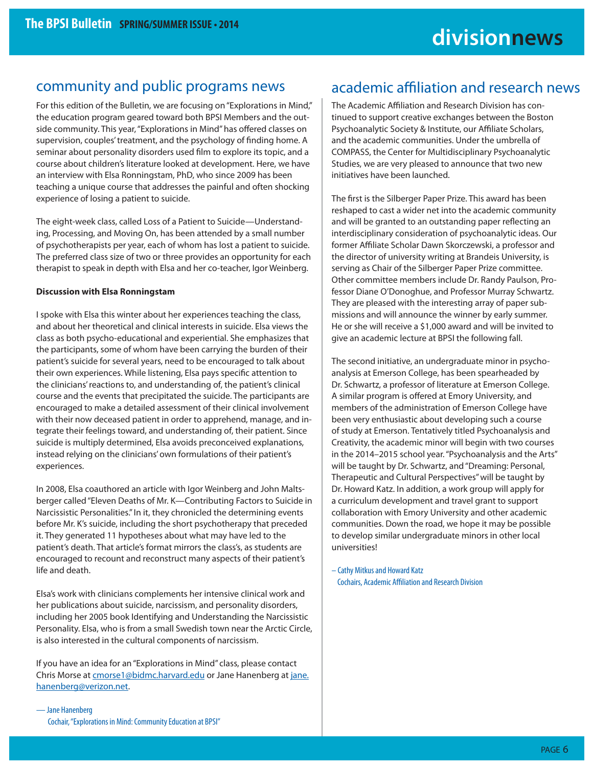### community and public programs news

For this edition of the Bulletin, we are focusing on "Explorations in Mind," the education program geared toward both BPSI Members and the outside community. This year, "Explorations in Mind" has offered classes on supervision, couples' treatment, and the psychology of finding home. A seminar about personality disorders used film to explore its topic, and a course about children's literature looked at development. Here, we have an interview with Elsa Ronningstam, PhD, who since 2009 has been teaching a unique course that addresses the painful and often shocking experience of losing a patient to suicide.

The eight-week class, called Loss of a Patient to Suicide—Understanding, Processing, and Moving On, has been attended by a small number of psychotherapists per year, each of whom has lost a patient to suicide. The preferred class size of two or three provides an opportunity for each therapist to speak in depth with Elsa and her co-teacher, Igor Weinberg.

#### **Discussion with Elsa Ronningstam**

I spoke with Elsa this winter about her experiences teaching the class, and about her theoretical and clinical interests in suicide. Elsa views the class as both psycho-educational and experiential. She emphasizes that the participants, some of whom have been carrying the burden of their patient's suicide for several years, need to be encouraged to talk about their own experiences. While listening, Elsa pays specific attention to the clinicians' reactions to, and understanding of, the patient's clinical course and the events that precipitated the suicide. The participants are encouraged to make a detailed assessment of their clinical involvement with their now deceased patient in order to apprehend, manage, and integrate their feelings toward, and understanding of, their patient. Since suicide is multiply determined, Elsa avoids preconceived explanations, instead relying on the clinicians' own formulations of their patient's experiences.

In 2008, Elsa coauthored an article with Igor Weinberg and John Maltsberger called "Eleven Deaths of Mr. K—Contributing Factors to Suicide in Narcissistic Personalities." In it, they chronicled the determining events before Mr. K's suicide, including the short psychotherapy that preceded it. They generated 11 hypotheses about what may have led to the patient's death. That article's format mirrors the class's, as students are encouraged to recount and reconstruct many aspects of their patient's life and death.

Elsa's work with clinicians complements her intensive clinical work and her publications about suicide, narcissism, and personality disorders, including her 2005 book Identifying and Understanding the Narcissistic Personality. Elsa, who is from a small Swedish town near the Arctic Circle, is also interested in the cultural components of narcissism.

If you have an idea for an "Explorations in Mind" class, please contact Chris Morse at cmorse1@bidmc.harvard.edu or Jane Hanenberg at jane. hanenberg@verizon.net.

### academic affiliation and research news

The Academic Affiliation and Research Division has continued to support creative exchanges between the Boston Psychoanalytic Society & Institute, our Affiliate Scholars, and the academic communities. Under the umbrella of COMPASS, the Center for Multidisciplinary Psychoanalytic Studies, we are very pleased to announce that two new initiatives have been launched.

The first is the Silberger Paper Prize. This award has been reshaped to cast a wider net into the academic community and will be granted to an outstanding paper reflecting an interdisciplinary consideration of psychoanalytic ideas. Our former Affiliate Scholar Dawn Skorczewski, a professor and the director of university writing at Brandeis University, is serving as Chair of the Silberger Paper Prize committee. Other committee members include Dr. Randy Paulson, Professor Diane O'Donoghue, and Professor Murray Schwartz. They are pleased with the interesting array of paper submissions and will announce the winner by early summer. He or she will receive a \$1,000 award and will be invited to give an academic lecture at BPSI the following fall.

The second initiative, an undergraduate minor in psychoanalysis at Emerson College, has been spearheaded by Dr. Schwartz, a professor of literature at Emerson College. A similar program is offered at Emory University, and members of the administration of Emerson College have been very enthusiastic about developing such a course of study at Emerson. Tentatively titled Psychoanalysis and Creativity, the academic minor will begin with two courses in the 2014–2015 school year. "Psychoanalysis and the Arts" will be taught by Dr. Schwartz, and "Dreaming: Personal, Therapeutic and Cultural Perspectives" will be taught by Dr. Howard Katz. In addition, a work group will apply for a curriculum development and travel grant to support collaboration with Emory University and other academic communities. Down the road, we hope it may be possible to develop similar undergraduate minors in other local universities!

– Cathy Mitkus and Howard Katz Cochairs, Academic Affiliation and Research Division

— Jane Hanenberg Cochair, "Explorations in Mind: Community Education at BPSI"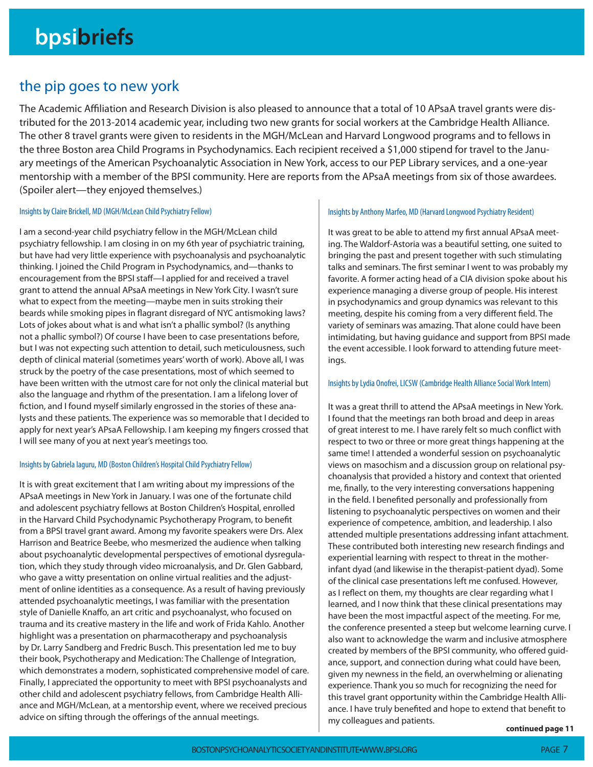### the pip goes to new york

The Academic Affiliation and Research Division is also pleased to announce that a total of 10 APsaA travel grants were distributed for the 2013-2014 academic year, including two new grants for social workers at the Cambridge Health Alliance. The other 8 travel grants were given to residents in the MGH/McLean and Harvard Longwood programs and to fellows in the three Boston area Child Programs in Psychodynamics. Each recipient received a \$1,000 stipend for travel to the January meetings of the American Psychoanalytic Association in New York, access to our PEP Library services, and a one-year mentorship with a member of the BPSI community. Here are reports from the APsaA meetings from six of those awardees. (Spoiler alert—they enjoyed themselves.)

#### Insights by Claire Brickell, MD (MGH/McLean Child Psychiatry Fellow)

I am a second-year child psychiatry fellow in the MGH/McLean child psychiatry fellowship. I am closing in on my 6th year of psychiatric training, but have had very little experience with psychoanalysis and psychoanalytic thinking. I joined the Child Program in Psychodynamics, and—thanks to encouragement from the BPSI staff-I applied for and received a travel grant to attend the annual APsaA meetings in New York City. I wasn't sure what to expect from the meeting—maybe men in suits stroking their beards while smoking pipes in flagrant disregard of NYC antismoking laws? Lots of jokes about what is and what isn't a phallic symbol? (Is anything not a phallic symbol?) Of course I have been to case presentations before, but I was not expecting such attention to detail, such meticulousness, such depth of clinical material (sometimes years' worth of work). Above all, I was struck by the poetry of the case presentations, most of which seemed to have been written with the utmost care for not only the clinical material but also the language and rhythm of the presentation. I am a lifelong lover of fiction, and I found myself similarly engrossed in the stories of these analysts and these patients. The experience was so memorable that I decided to apply for next year's APsaA Fellowship. I am keeping my fingers crossed that I will see many of you at next year's meetings too.

#### Insights by Gabriela Iaguru, MD (Boston Children's Hospital Child Psychiatry Fellow)

It is with great excitement that I am writing about my impressions of the APsaA meetings in New York in January. I was one of the fortunate child and adolescent psychiatry fellows at Boston Children's Hospital, enrolled in the Harvard Child Psychodynamic Psychotherapy Program, to benefit from a BPSI travel grant award. Among my favorite speakers were Drs. Alex Harrison and Beatrice Beebe, who mesmerized the audience when talking about psychoanalytic developmental perspectives of emotional dysregulation, which they study through video microanalysis, and Dr. Glen Gabbard, who gave a witty presentation on online virtual realities and the adjustment of online identities as a consequence. As a result of having previously attended psychoanalytic meetings, I was familiar with the presentation style of Danielle Knaffo, an art critic and psychoanalyst, who focused on trauma and its creative mastery in the life and work of Frida Kahlo. Another highlight was a presentation on pharmacotherapy and psychoanalysis by Dr. Larry Sandberg and Fredric Busch. This presentation led me to buy their book, Psychotherapy and Medication: The Challenge of Integration, which demonstrates a modern, sophisticated comprehensive model of care. Finally, I appreciated the opportunity to meet with BPSI psychoanalysts and other child and adolescent psychiatry fellows, from Cambridge Health Alliance and MGH/McLean, at a mentorship event, where we received precious advice on sifting through the offerings of the annual meetings.

#### Insights by Anthony Marfeo, MD (Harvard Longwood Psychiatry Resident)

It was great to be able to attend my first annual APsaA meeting. The Waldorf-Astoria was a beautiful setting, one suited to bringing the past and present together with such stimulating talks and seminars. The first seminar I went to was probably my favorite. A former acting head of a CIA division spoke about his experience managing a diverse group of people. His interest in psychodynamics and group dynamics was relevant to this meeting, despite his coming from a very different field. The variety of seminars was amazing. That alone could have been intimidating, but having guidance and support from BPSI made the event accessible. I look forward to attending future meetings.

#### Insights by Lydia Onofrei, LICSW (Cambridge Health Alliance Social Work Intern)

It was a great thrill to attend the APsaA meetings in New York. I found that the meetings ran both broad and deep in areas of great interest to me. I have rarely felt so much conflict with respect to two or three or more great things happening at the same time! I attended a wonderful session on psychoanalytic views on masochism and a discussion group on relational psychoanalysis that provided a history and context that oriented me, finally, to the very interesting conversations happening in the field. I benefited personally and professionally from listening to psychoanalytic perspectives on women and their experience of competence, ambition, and leadership. I also attended multiple presentations addressing infant attachment. These contributed both interesting new research findings and experiential learning with respect to threat in the motherinfant dyad (and likewise in the therapist-patient dyad). Some of the clinical case presentations left me confused. However, as I reflect on them, my thoughts are clear regarding what I learned, and I now think that these clinical presentations may have been the most impactful aspect of the meeting. For me, the conference presented a steep but welcome learning curve. I also want to acknowledge the warm and inclusive atmosphere created by members of the BPSI community, who offered guidance, support, and connection during what could have been, given my newness in the field, an overwhelming or alienating experience. Thank you so much for recognizing the need for this travel grant opportunity within the Cambridge Health Alliance. I have truly benefited and hope to extend that benefit to my colleagues and patients.

**continued page 11**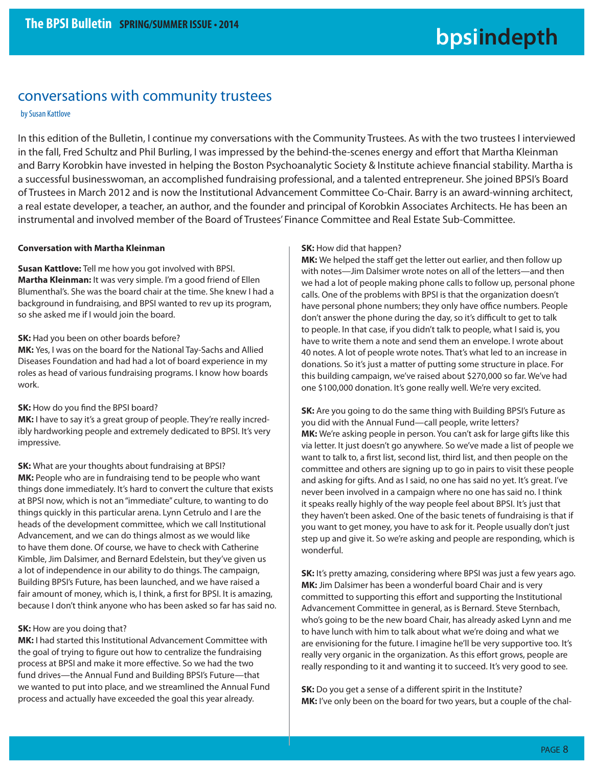### conversations with community trustees

#### by Susan Kattlove

In this edition of the Bulletin, I continue my conversations with the Community Trustees. As with the two trustees I interviewed in the fall, Fred Schultz and Phil Burling, I was impressed by the behind-the-scenes energy and effort that Martha Kleinman and Barry Korobkin have invested in helping the Boston Psychoanalytic Society & Institute achieve financial stability. Martha is a successful businesswoman, an accomplished fundraising professional, and a talented entrepreneur. She joined BPSI's Board of Trustees in March 2012 and is now the Institutional Advancement Committee Co-Chair. Barry is an award-winning architect, a real estate developer, a teacher, an author, and the founder and principal of Korobkin Associates Architects. He has been an instrumental and involved member of the Board of Trustees' Finance Committee and Real Estate Sub-Committee.

#### **Conversation with Martha Kleinman**

**Susan Kattlove:** Tell me how you got involved with BPSI. **Martha Kleinman:** It was very simple. I'm a good friend of Ellen Blumenthal's. She was the board chair at the time. She knew I had a background in fundraising, and BPSI wanted to rev up its program, so she asked me if I would join the board.

#### **SK:** Had you been on other boards before?

**MK:** Yes, I was on the board for the National Tay-Sachs and Allied Diseases Foundation and had had a lot of board experience in my roles as head of various fundraising programs. I know how boards work.

#### **SK:** How do you find the BPSI board?

MK: I have to say it's a great group of people. They're really incredibly hardworking people and extremely dedicated to BPSI. It's very impressive.

**SK:** What are your thoughts about fundraising at BPSI? **MK:** People who are in fundraising tend to be people who want things done immediately. It's hard to convert the culture that exists at BPSI now, which is not an "immediate" culture, to wanting to do things quickly in this particular arena. Lynn Cetrulo and I are the heads of the development committee, which we call Institutional Advancement, and we can do things almost as we would like to have them done. Of course, we have to check with Catherine Kimble, Jim Dalsimer, and Bernard Edelstein, but they've given us a lot of independence in our ability to do things. The campaign, Building BPSI's Future, has been launched, and we have raised a fair amount of money, which is, I think, a first for BPSI. It is amazing, because I don't think anyone who has been asked so far has said no.

#### **SK:** How are you doing that?

**MK:** I had started this Institutional Advancement Committee with the goal of trying to figure out how to centralize the fundraising process at BPSI and make it more effective. So we had the two fund drives—the Annual Fund and Building BPSI's Future—that we wanted to put into place, and we streamlined the Annual Fund process and actually have exceeded the goal this year already.

#### **SK:** How did that happen?

**MK:** We helped the staff get the letter out earlier, and then follow up with notes—Jim Dalsimer wrote notes on all of the letters—and then we had a lot of people making phone calls to follow up, personal phone calls. One of the problems with BPSI is that the organization doesn't have personal phone numbers; they only have office numbers. People don't answer the phone during the day, so it's difficult to get to talk to people. In that case, if you didn't talk to people, what I said is, you have to write them a note and send them an envelope. I wrote about 40 notes. A lot of people wrote notes. That's what led to an increase in donations. So it's just a matter of putting some structure in place. For this building campaign, we've raised about \$270,000 so far. We've had one \$100,000 donation. It's gone really well. We're very excited.

**SK:** Are you going to do the same thing with Building BPSI's Future as you did with the Annual Fund—call people, write letters? **MK:** We're asking people in person. You can't ask for large gifts like this via letter. It just doesn't go anywhere. So we've made a list of people we want to talk to, a first list, second list, third list, and then people on the committee and others are signing up to go in pairs to visit these people and asking for gifts. And as I said, no one has said no yet. It's great. I've never been involved in a campaign where no one has said no. I think it speaks really highly of the way people feel about BPSI. It's just that they haven't been asked. One of the basic tenets of fundraising is that if you want to get money, you have to ask for it. People usually don't just step up and give it. So we're asking and people are responding, which is wonderful.

**SK:** It's pretty amazing, considering where BPSI was just a few years ago. **MK:** Jim Dalsimer has been a wonderful board Chair and is very committed to supporting this effort and supporting the Institutional Advancement Committee in general, as is Bernard. Steve Sternbach, who's going to be the new board Chair, has already asked Lynn and me to have lunch with him to talk about what we're doing and what we are envisioning for the future. I imagine he'll be very supportive too. It's really very organic in the organization. As this effort grows, people are really responding to it and wanting it to succeed. It's very good to see.

**SK:** Do you get a sense of a different spirit in the Institute? MK: I've only been on the board for two years, but a couple of the chal-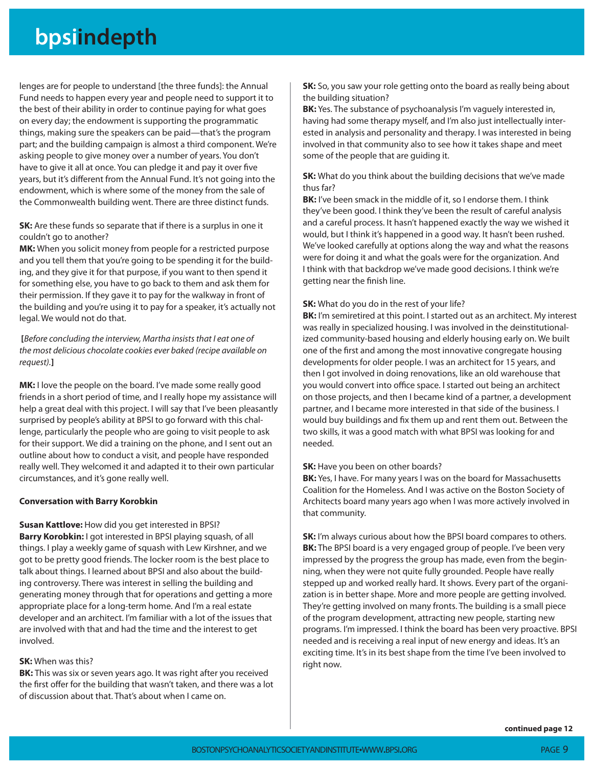## **bpsiindepth**

lenges are for people to understand [the three funds]: the Annual Fund needs to happen every year and people need to support it to the best of their ability in order to continue paying for what goes on every day; the endowment is supporting the programmatic things, making sure the speakers can be paid—that's the program part; and the building campaign is almost a third component. We're asking people to give money over a number of years. You don't have to give it all at once. You can pledge it and pay it over five years, but it's different from the Annual Fund. It's not going into the endowment, which is where some of the money from the sale of the Commonwealth building went. There are three distinct funds.

**SK:** Are these funds so separate that if there is a surplus in one it couldn't go to another?

**MK:** When you solicit money from people for a restricted purpose and you tell them that you're going to be spending it for the building, and they give it for that purpose, if you want to then spend it for something else, you have to go back to them and ask them for their permission. If they gave it to pay for the walkway in front of the building and you're using it to pay for a speaker, it's actually not legal. We would not do that.

 **[**Before concluding the interview, Martha insists that I eat one of the most delicious chocolate cookies ever baked (recipe available on request).**]**

**MK:** I love the people on the board. I've made some really good friends in a short period of time, and I really hope my assistance will help a great deal with this project. I will say that I've been pleasantly surprised by people's ability at BPSI to go forward with this challenge, particularly the people who are going to visit people to ask for their support. We did a training on the phone, and I sent out an outline about how to conduct a visit, and people have responded really well. They welcomed it and adapted it to their own particular circumstances, and it's gone really well.

#### **Conversation with Barry Korobkin**

**Susan Kattlove:** How did you get interested in BPSI? **Barry Korobkin:** I got interested in BPSI playing squash, of all things. I play a weekly game of squash with Lew Kirshner, and we got to be pretty good friends. The locker room is the best place to talk about things. I learned about BPSI and also about the building controversy. There was interest in selling the building and generating money through that for operations and getting a more appropriate place for a long-term home. And I'm a real estate developer and an architect. I'm familiar with a lot of the issues that are involved with that and had the time and the interest to get involved.

#### **SK:** When was this?

**BK:** This was six or seven years ago. It was right after you received the first offer for the building that wasn't taken, and there was a lot of discussion about that. That's about when I came on.

**SK:** So, you saw your role getting onto the board as really being about the building situation?

**BK:** Yes. The substance of psychoanalysis I'm vaguely interested in, having had some therapy myself, and I'm also just intellectually interested in analysis and personality and therapy. I was interested in being involved in that community also to see how it takes shape and meet some of the people that are guiding it.

#### **SK:** What do you think about the building decisions that we've made thus far?

**BK:** I've been smack in the middle of it, so I endorse them. I think they've been good. I think they've been the result of careful analysis and a careful process. It hasn't happened exactly the way we wished it would, but I think it's happened in a good way. It hasn't been rushed. We've looked carefully at options along the way and what the reasons were for doing it and what the goals were for the organization. And I think with that backdrop we've made good decisions. I think we're getting near the finish line.

#### **SK:** What do you do in the rest of your life?

**BK:** I'm semiretired at this point. I started out as an architect. My interest was really in specialized housing. I was involved in the deinstitutionalized community-based housing and elderly housing early on. We built one of the first and among the most innovative congregate housing developments for older people. I was an architect for 15 years, and then I got involved in doing renovations, like an old warehouse that you would convert into office space. I started out being an architect on those projects, and then I became kind of a partner, a development partner, and I became more interested in that side of the business. I would buy buildings and fix them up and rent them out. Between the two skills, it was a good match with what BPSI was looking for and needed.

#### **SK:** Have you been on other boards?

**BK:** Yes, I have. For many years I was on the board for Massachusetts Coalition for the Homeless. And I was active on the Boston Society of Architects board many years ago when I was more actively involved in that community.

**SK:** I'm always curious about how the BPSI board compares to others. **BK:** The BPSI board is a very engaged group of people. I've been very impressed by the progress the group has made, even from the beginning, when they were not quite fully grounded. People have really stepped up and worked really hard. It shows. Every part of the organization is in better shape. More and more people are getting involved. They're getting involved on many fronts. The building is a small piece of the program development, attracting new people, starting new programs. I'm impressed. I think the board has been very proactive. BPSI needed and is receiving a real input of new energy and ideas. It's an exciting time. It's in its best shape from the time I've been involved to right now.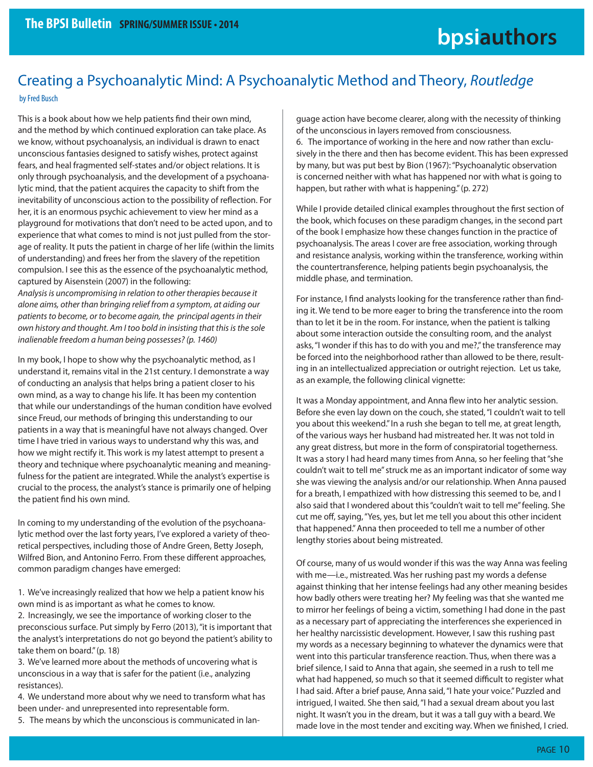### Creating a Psychoanalytic Mind: A Psychoanalytic Method and Theory, Routledge by Fred Busch

This is a book about how we help patients find their own mind, and the method by which continued exploration can take place. As we know, without psychoanalysis, an individual is drawn to enact unconscious fantasies designed to satisfy wishes, protect against fears, and heal fragmented self-states and/or object relations. It is only through psychoanalysis, and the development of a psychoanalytic mind, that the patient acquires the capacity to shift from the inevitability of unconscious action to the possibility of reflection. For her, it is an enormous psychic achievement to view her mind as a playground for motivations that don't need to be acted upon, and to experience that what comes to mind is not just pulled from the storage of reality. It puts the patient in charge of her life (within the limits of understanding) and frees her from the slavery of the repetition compulsion. I see this as the essence of the psychoanalytic method, captured by Aisenstein (2007) in the following:

Analysis is uncompromising in relation to other therapies because it alone aims, other than bringing relief from a symptom, at aiding our patients to become, or to become again, the principal agents in their own history and thought. Am I too bold in insisting that this is the sole inalienable freedom a human being possesses? (p. 1460)

In my book, I hope to show why the psychoanalytic method, as I understand it, remains vital in the 21st century. I demonstrate a way of conducting an analysis that helps bring a patient closer to his own mind, as a way to change his life. It has been my contention that while our understandings of the human condition have evolved since Freud, our methods of bringing this understanding to our patients in a way that is meaningful have not always changed. Over time I have tried in various ways to understand why this was, and how we might rectify it. This work is my latest attempt to present a theory and technique where psychoanalytic meaning and meaningfulness for the patient are integrated. While the analyst's expertise is crucial to the process, the analyst's stance is primarily one of helping the patient find his own mind.

In coming to my understanding of the evolution of the psychoanalytic method over the last forty years, I've explored a variety of theoretical perspectives, including those of Andre Green, Betty Joseph, Wilfred Bion, and Antonino Ferro. From these different approaches, common paradigm changes have emerged:

1. We've increasingly realized that how we help a patient know his own mind is as important as what he comes to know.

2. Increasingly, we see the importance of working closer to the preconscious surface. Put simply by Ferro (2013), "it is important that the analyst's interpretations do not go beyond the patient's ability to take them on board." (p. 18)

3. We've learned more about the methods of uncovering what is unconscious in a way that is safer for the patient (i.e., analyzing resistances).

4. We understand more about why we need to transform what has been under- and unrepresented into representable form.

5. The means by which the unconscious is communicated in lan-

guage action have become clearer, along with the necessity of thinking of the unconscious in layers removed from consciousness.

6. The importance of working in the here and now rather than exclusively in the there and then has become evident. This has been expressed by many, but was put best by Bion (1967): "Psychoanalytic observation is concerned neither with what has happened nor with what is going to happen, but rather with what is happening." (p. 272)

While I provide detailed clinical examples throughout the first section of the book, which focuses on these paradigm changes, in the second part of the book I emphasize how these changes function in the practice of psychoanalysis. The areas I cover are free association, working through and resistance analysis, working within the transference, working within the countertransference, helping patients begin psychoanalysis, the middle phase, and termination.

For instance, I find analysts looking for the transference rather than finding it. We tend to be more eager to bring the transference into the room than to let it be in the room. For instance, when the patient is talking about some interaction outside the consulting room, and the analyst asks, "I wonder if this has to do with you and me?," the transference may be forced into the neighborhood rather than allowed to be there, resulting in an intellectualized appreciation or outright rejection. Let us take, as an example, the following clinical vignette:

It was a Monday appointment, and Anna flew into her analytic session. Before she even lay down on the couch, she stated, "I couldn't wait to tell you about this weekend." In a rush she began to tell me, at great length, of the various ways her husband had mistreated her. It was not told in any great distress, but more in the form of conspiratorial togetherness. It was a story I had heard many times from Anna, so her feeling that "she couldn't wait to tell me" struck me as an important indicator of some way she was viewing the analysis and/or our relationship. When Anna paused for a breath, I empathized with how distressing this seemed to be, and I also said that I wondered about this "couldn't wait to tell me" feeling. She cut me off, saying, "Yes, yes, but let me tell you about this other incident that happened." Anna then proceeded to tell me a number of other lengthy stories about being mistreated.

Of course, many of us would wonder if this was the way Anna was feeling with me—i.e., mistreated. Was her rushing past my words a defense against thinking that her intense feelings had any other meaning besides how badly others were treating her? My feeling was that she wanted me to mirror her feelings of being a victim, something I had done in the past as a necessary part of appreciating the interferences she experienced in her healthy narcissistic development. However, I saw this rushing past my words as a necessary beginning to whatever the dynamics were that went into this particular transference reaction. Thus, when there was a brief silence, I said to Anna that again, she seemed in a rush to tell me what had happened, so much so that it seemed difficult to register what I had said. After a brief pause, Anna said, "I hate your voice." Puzzled and intrigued, I waited. She then said, "I had a sexual dream about you last night. It wasn't you in the dream, but it was a tall guy with a beard. We made love in the most tender and exciting way. When we finished, I cried.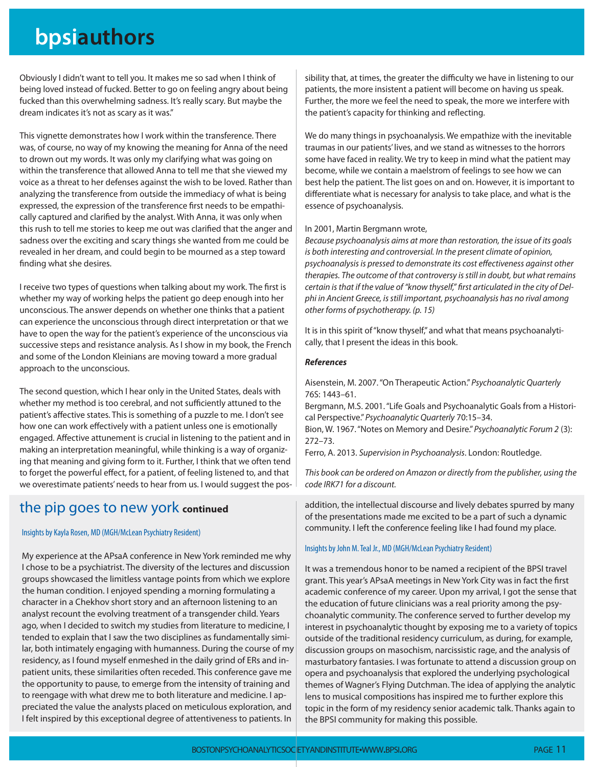## **bpsiauthors**

Obviously I didn't want to tell you. It makes me so sad when I think of being loved instead of fucked. Better to go on feeling angry about being fucked than this overwhelming sadness. It's really scary. But maybe the dream indicates it's not as scary as it was."

This vignette demonstrates how I work within the transference. There was, of course, no way of my knowing the meaning for Anna of the need to drown out my words. It was only my clarifying what was going on within the transference that allowed Anna to tell me that she viewed my voice as a threat to her defenses against the wish to be loved. Rather than analyzing the transference from outside the immediacy of what is being expressed, the expression of the transference first needs to be empathically captured and clarified by the analyst. With Anna, it was only when this rush to tell me stories to keep me out was clarified that the anger and sadness over the exciting and scary things she wanted from me could be revealed in her dream, and could begin to be mourned as a step toward finding what she desires.

I receive two types of questions when talking about my work. The first is whether my way of working helps the patient go deep enough into her unconscious. The answer depends on whether one thinks that a patient can experience the unconscious through direct interpretation or that we have to open the way for the patient's experience of the unconscious via successive steps and resistance analysis. As I show in my book, the French and some of the London Kleinians are moving toward a more gradual approach to the unconscious.

The second question, which I hear only in the United States, deals with whether my method is too cerebral, and not sufficiently attuned to the patient's affective states. This is something of a puzzle to me. I don't see how one can work effectively with a patient unless one is emotionally engaged. Affective attunement is crucial in listening to the patient and in making an interpretation meaningful, while thinking is a way of organizing that meaning and giving form to it. Further, I think that we often tend to forget the powerful effect, for a patient, of feeling listened to, and that we overestimate patients' needs to hear from us. I would suggest the pos-

### the pip goes to new york **continued**

#### Insights by Kayla Rosen, MD (MGH/McLean Psychiatry Resident)

My experience at the APsaA conference in New York reminded me why I chose to be a psychiatrist. The diversity of the lectures and discussion groups showcased the limitless vantage points from which we explore the human condition. I enjoyed spending a morning formulating a character in a Chekhov short story and an afternoon listening to an analyst recount the evolving treatment of a transgender child. Years ago, when I decided to switch my studies from literature to medicine, I tended to explain that I saw the two disciplines as fundamentally similar, both intimately engaging with humanness. During the course of my residency, as I found myself enmeshed in the daily grind of ERs and inpatient units, these similarities often receded. This conference gave me the opportunity to pause, to emerge from the intensity of training and to reengage with what drew me to both literature and medicine. I appreciated the value the analysts placed on meticulous exploration, and I felt inspired by this exceptional degree of attentiveness to patients. In

sibility that, at times, the greater the difficulty we have in listening to our patients, the more insistent a patient will become on having us speak. Further, the more we feel the need to speak, the more we interfere with the patient's capacity for thinking and reflecting.

We do many things in psychoanalysis. We empathize with the inevitable traumas in our patients' lives, and we stand as witnesses to the horrors some have faced in reality. We try to keep in mind what the patient may become, while we contain a maelstrom of feelings to see how we can best help the patient. The list goes on and on. However, it is important to differentiate what is necessary for analysis to take place, and what is the essence of psychoanalysis.

#### In 2001, Martin Bergmann wrote,

Because psychoanalysis aims at more than restoration, the issue of its goals is both interesting and controversial. In the present climate of opinion, psychoanalysis is pressed to demonstrate its cost effectiveness against other therapies. The outcome of that controversy is still in doubt, but what remains certain is that if the value of "know thyself," first articulated in the city of Delphi in Ancient Greece, is still important, psychoanalysis has no rival among other forms of psychotherapy. (p. 15)

It is in this spirit of "know thyself," and what that means psychoanalytically, that I present the ideas in this book.

#### *References*

Aisenstein, M. 2007. "On Therapeutic Action." Psychoanalytic Quarterly 76S: 1443–61.

Bergmann, M.S. 2001. "Life Goals and Psychoanalytic Goals from a Historical Perspective." Psychoanalytic Quarterly 70:15–34.

Bion, W. 1967. "Notes on Memory and Desire." Psychoanalytic Forum 2 (3): 272–73.

Ferro, A. 2013. Supervision in Psychoanalysis. London: Routledge.

This book can be ordered on Amazon or directly from the publisher, using the code IRK71 for a discount.

addition, the intellectual discourse and lively debates spurred by many of the presentations made me excited to be a part of such a dynamic community. I left the conference feeling like I had found my place.

#### Insights by John M. Teal Jr., MD (MGH/McLean Psychiatry Resident)

It was a tremendous honor to be named a recipient of the BPSI travel grant. This year's APsaA meetings in New York City was in fact the first academic conference of my career. Upon my arrival, I got the sense that the education of future clinicians was a real priority among the psychoanalytic community. The conference served to further develop my interest in psychoanalytic thought by exposing me to a variety of topics outside of the traditional residency curriculum, as during, for example, discussion groups on masochism, narcissistic rage, and the analysis of masturbatory fantasies. I was fortunate to attend a discussion group on opera and psychoanalysis that explored the underlying psychological themes of Wagner's Flying Dutchman. The idea of applying the analytic lens to musical compositions has inspired me to further explore this topic in the form of my residency senior academic talk. Thanks again to the BPSI community for making this possible.